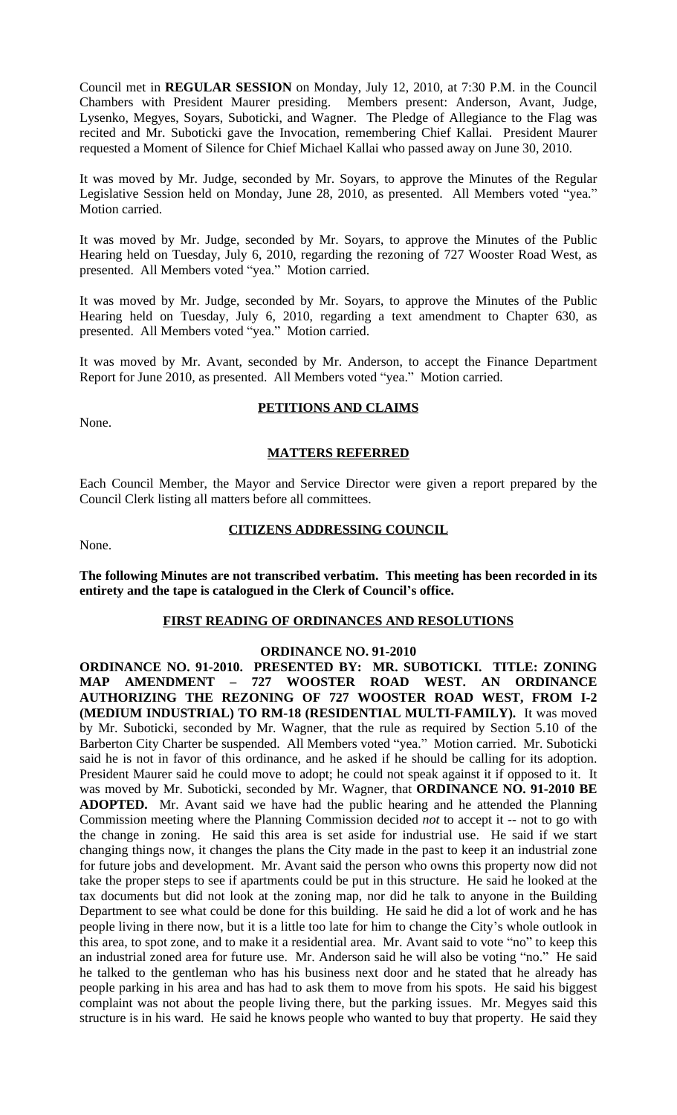Council met in **REGULAR SESSION** on Monday, July 12, 2010, at 7:30 P.M. in the Council Chambers with President Maurer presiding. Members present: Anderson, Avant, Judge, Lysenko, Megyes, Soyars, Suboticki, and Wagner. The Pledge of Allegiance to the Flag was recited and Mr. Suboticki gave the Invocation, remembering Chief Kallai. President Maurer requested a Moment of Silence for Chief Michael Kallai who passed away on June 30, 2010.

It was moved by Mr. Judge, seconded by Mr. Soyars, to approve the Minutes of the Regular Legislative Session held on Monday, June 28, 2010, as presented. All Members voted "yea." Motion carried.

It was moved by Mr. Judge, seconded by Mr. Soyars, to approve the Minutes of the Public Hearing held on Tuesday, July 6, 2010, regarding the rezoning of 727 Wooster Road West, as presented. All Members voted "yea." Motion carried.

It was moved by Mr. Judge, seconded by Mr. Soyars, to approve the Minutes of the Public Hearing held on Tuesday, July 6, 2010, regarding a text amendment to Chapter 630, as presented. All Members voted "yea." Motion carried.

It was moved by Mr. Avant, seconded by Mr. Anderson, to accept the Finance Department Report for June 2010, as presented. All Members voted "yea." Motion carried.

None.

# **PETITIONS AND CLAIMS**

## **MATTERS REFERRED**

Each Council Member, the Mayor and Service Director were given a report prepared by the Council Clerk listing all matters before all committees.

None.

### **CITIZENS ADDRESSING COUNCIL**

**The following Minutes are not transcribed verbatim. This meeting has been recorded in its entirety and the tape is catalogued in the Clerk of Council's office.**

#### **FIRST READING OF ORDINANCES AND RESOLUTIONS**

#### **ORDINANCE NO. 91-2010**

**ORDINANCE NO. 91-2010. PRESENTED BY: MR. SUBOTICKI. TITLE: ZONING MAP AMENDMENT – 727 WOOSTER ROAD WEST. AN ORDINANCE AUTHORIZING THE REZONING OF 727 WOOSTER ROAD WEST, FROM I-2 (MEDIUM INDUSTRIAL) TO RM-18 (RESIDENTIAL MULTI-FAMILY).** It was moved by Mr. Suboticki, seconded by Mr. Wagner, that the rule as required by Section 5.10 of the Barberton City Charter be suspended. All Members voted "yea." Motion carried. Mr. Suboticki said he is not in favor of this ordinance, and he asked if he should be calling for its adoption. President Maurer said he could move to adopt; he could not speak against it if opposed to it. It was moved by Mr. Suboticki, seconded by Mr. Wagner, that **ORDINANCE NO. 91-2010 BE ADOPTED.** Mr. Avant said we have had the public hearing and he attended the Planning Commission meeting where the Planning Commission decided *not* to accept it -- not to go with the change in zoning. He said this area is set aside for industrial use. He said if we start changing things now, it changes the plans the City made in the past to keep it an industrial zone for future jobs and development. Mr. Avant said the person who owns this property now did not take the proper steps to see if apartments could be put in this structure. He said he looked at the tax documents but did not look at the zoning map, nor did he talk to anyone in the Building Department to see what could be done for this building. He said he did a lot of work and he has people living in there now, but it is a little too late for him to change the City's whole outlook in this area, to spot zone, and to make it a residential area. Mr. Avant said to vote "no" to keep this an industrial zoned area for future use. Mr. Anderson said he will also be voting "no." He said he talked to the gentleman who has his business next door and he stated that he already has people parking in his area and has had to ask them to move from his spots. He said his biggest complaint was not about the people living there, but the parking issues. Mr. Megyes said this structure is in his ward. He said he knows people who wanted to buy that property. He said they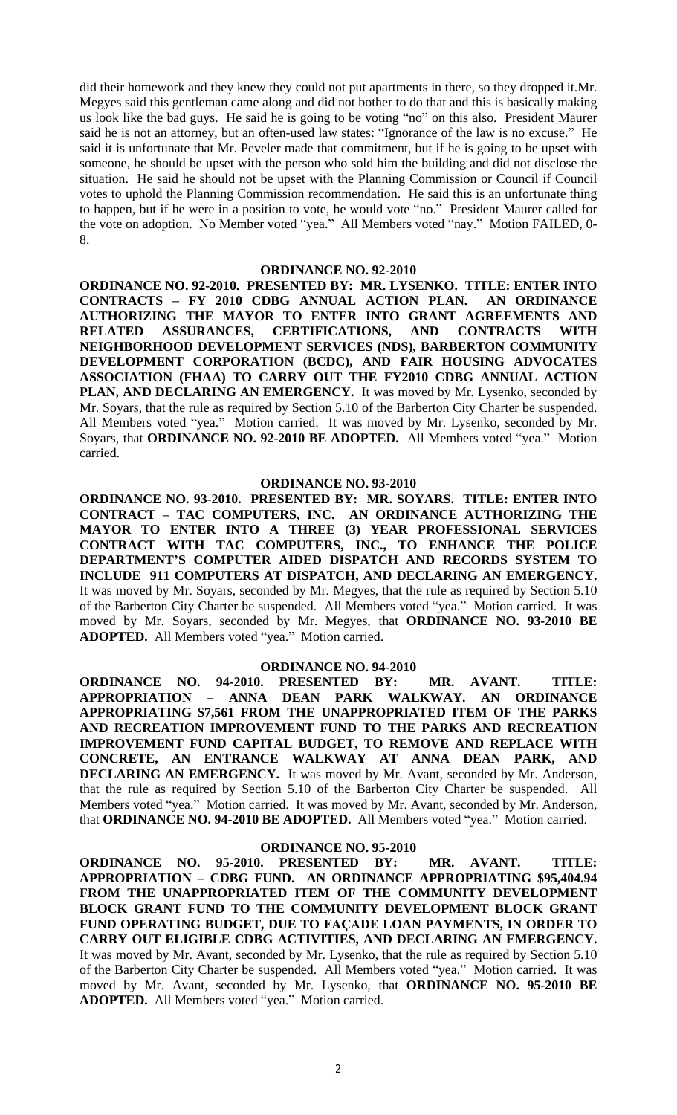did their homework and they knew they could not put apartments in there, so they dropped it.Mr. Megyes said this gentleman came along and did not bother to do that and this is basically making us look like the bad guys. He said he is going to be voting "no" on this also. President Maurer said he is not an attorney, but an often-used law states: "Ignorance of the law is no excuse." He said it is unfortunate that Mr. Peveler made that commitment, but if he is going to be upset with someone, he should be upset with the person who sold him the building and did not disclose the situation. He said he should not be upset with the Planning Commission or Council if Council votes to uphold the Planning Commission recommendation. He said this is an unfortunate thing to happen, but if he were in a position to vote, he would vote "no." President Maurer called for the vote on adoption. No Member voted "yea." All Members voted "nay." Motion FAILED, 0- 8.

#### **ORDINANCE NO. 92-2010**

**ORDINANCE NO. 92-2010. PRESENTED BY: MR. LYSENKO. TITLE: ENTER INTO CONTRACTS – FY 2010 CDBG ANNUAL ACTION PLAN. AN ORDINANCE AUTHORIZING THE MAYOR TO ENTER INTO GRANT AGREEMENTS AND RELATED ASSURANCES, CERTIFICATIONS, AND CONTRACTS WITH NEIGHBORHOOD DEVELOPMENT SERVICES (NDS), BARBERTON COMMUNITY DEVELOPMENT CORPORATION (BCDC), AND FAIR HOUSING ADVOCATES ASSOCIATION (FHAA) TO CARRY OUT THE FY2010 CDBG ANNUAL ACTION PLAN, AND DECLARING AN EMERGENCY.** It was moved by Mr. Lysenko, seconded by Mr. Soyars, that the rule as required by Section 5.10 of the Barberton City Charter be suspended. All Members voted "yea." Motion carried. It was moved by Mr. Lysenko, seconded by Mr. Soyars, that **ORDINANCE NO. 92-2010 BE ADOPTED.** All Members voted "yea." Motion carried.

#### **ORDINANCE NO. 93-2010**

**ORDINANCE NO. 93-2010. PRESENTED BY: MR. SOYARS. TITLE: ENTER INTO CONTRACT – TAC COMPUTERS, INC. AN ORDINANCE AUTHORIZING THE MAYOR TO ENTER INTO A THREE (3) YEAR PROFESSIONAL SERVICES CONTRACT WITH TAC COMPUTERS, INC., TO ENHANCE THE POLICE DEPARTMENT'S COMPUTER AIDED DISPATCH AND RECORDS SYSTEM TO INCLUDE 911 COMPUTERS AT DISPATCH, AND DECLARING AN EMERGENCY.** It was moved by Mr. Soyars, seconded by Mr. Megyes, that the rule as required by Section 5.10 of the Barberton City Charter be suspended. All Members voted "yea." Motion carried. It was moved by Mr. Soyars, seconded by Mr. Megyes, that **ORDINANCE NO. 93-2010 BE ADOPTED.** All Members voted "yea." Motion carried.

#### **ORDINANCE NO. 94-2010**

**ORDINANCE NO. 94-2010. PRESENTED BY: MR. AVANT. TITLE: APPROPRIATION – ANNA DEAN PARK WALKWAY. AN ORDINANCE APPROPRIATING \$7,561 FROM THE UNAPPROPRIATED ITEM OF THE PARKS AND RECREATION IMPROVEMENT FUND TO THE PARKS AND RECREATION IMPROVEMENT FUND CAPITAL BUDGET, TO REMOVE AND REPLACE WITH CONCRETE, AN ENTRANCE WALKWAY AT ANNA DEAN PARK, AND DECLARING AN EMERGENCY.** It was moved by Mr. Avant, seconded by Mr. Anderson, that the rule as required by Section 5.10 of the Barberton City Charter be suspended. All Members voted "yea." Motion carried. It was moved by Mr. Avant, seconded by Mr. Anderson, that **ORDINANCE NO. 94-2010 BE ADOPTED.** All Members voted "yea." Motion carried.

#### **ORDINANCE NO. 95-2010**

**ORDINANCE NO. 95-2010. PRESENTED BY: MR. AVANT. TITLE: APPROPRIATION – CDBG FUND. AN ORDINANCE APPROPRIATING \$95,404.94 FROM THE UNAPPROPRIATED ITEM OF THE COMMUNITY DEVELOPMENT BLOCK GRANT FUND TO THE COMMUNITY DEVELOPMENT BLOCK GRANT FUND OPERATING BUDGET, DUE TO FAÇADE LOAN PAYMENTS, IN ORDER TO CARRY OUT ELIGIBLE CDBG ACTIVITIES, AND DECLARING AN EMERGENCY.** It was moved by Mr. Avant, seconded by Mr. Lysenko, that the rule as required by Section 5.10 of the Barberton City Charter be suspended. All Members voted "yea." Motion carried. It was moved by Mr. Avant, seconded by Mr. Lysenko, that **ORDINANCE NO. 95-2010 BE ADOPTED.** All Members voted "yea." Motion carried.